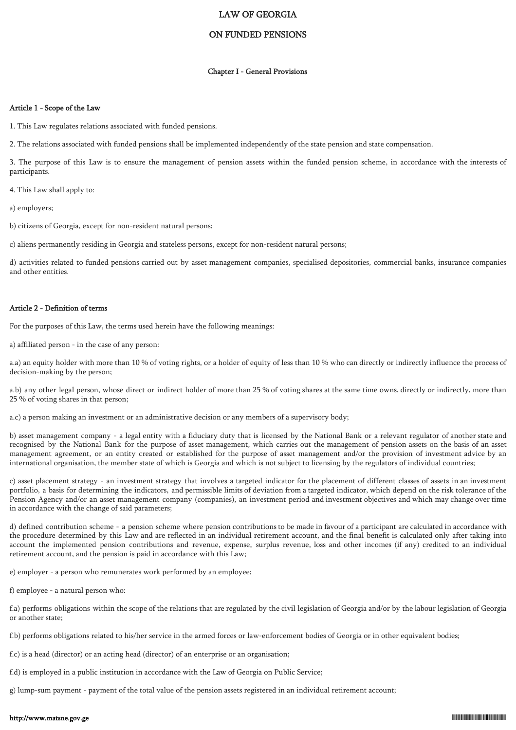# LAW OF GEORGIA

# ON FUNDED PENSIONS

#### Chapter I - General Provisions

#### Article 1 - Scope of the Law

1. This Law regulates relations associated with funded pensions.

2. The relations associated with funded pensions shall be implemented independently of the state pension and state compensation.

3. The purpose of this Law is to ensure the management of pension assets within the funded pension scheme, in accordance with the interests of participants.

4. This Law shall apply to:

a) employers;

b) citizens of Georgia, except for non-resident natural persons;

c) aliens permanently residing in Georgia and stateless persons, except for non-resident natural persons;

d) activities related to funded pensions carried out by asset management companies, specialised depositories, commercial banks, insurance companies and other entities.

#### Article 2 - Definition of terms

For the purposes of this Law, the terms used herein have the following meanings:

a) affiliated person - in the case of any person:

a.a) an equity holder with more than 10 % of voting rights, or a holder of equity of less than 10 % who can directly or indirectly influence the process of decision-making by the person;

a.b) any other legal person, whose direct or indirect holder of more than 25 % of voting shares at the same time owns, directly or indirectly, more than 25 % of voting shares in that person;

a.c) a person making an investment or an administrative decision or any members of a supervisory body;

b) asset management company - a legal entity with a fiduciary duty that is licensed by the National Bank or a relevant regulator of another state and recognised by the National Bank for the purpose of asset management, which carries out the management of pension assets on the basis of an asset management agreement, or an entity created or established for the purpose of asset management and/or the provision of investment advice by an international organisation, the member state of which is Georgia and which is not subject to licensing by the regulators of individual countries;

c) asset placement strategy - an investment strategy that involves a targeted indicator for the placement of different classes of assets in an investment portfolio, a basis for determining the indicators, and permissible limits of deviation from a targeted indicator, which depend on the risk tolerance of the Pension Agency and/or an asset management company (companies), an investment period and investment objectives and which may change over time in accordance with the change of said parameters;

d) defined contribution scheme - a pension scheme where pension contributions to be made in favour of a participant are calculated in accordance with the procedure determined by this Law and are reflected in an individual retirement account, and the final benefit is calculated only after taking into account the implemented pension contributions and revenue, expense, surplus revenue, loss and other incomes (if any) credited to an individual retirement account, and the pension is paid in accordance with this Law;

e) employer - a person who remunerates work performed by an employee;

f) employee - a natural person who:

f.a) performs obligations within the scope of the relations that are regulated by the civil legislation of Georgia and/or by the labour legislation of Georgia or another state;

f.b) performs obligations related to his/her service in the armed forces or law-enforcement bodies of Georgia or in other equivalent bodies;

f.c) is a head (director) or an acting head (director) of an enterprise or an organisation;

f.d) is employed in a public institution in accordance with the Law of Georgia on Public Service;

g) lump-sum payment - payment of the total value of the pension assets registered in an individual retirement account;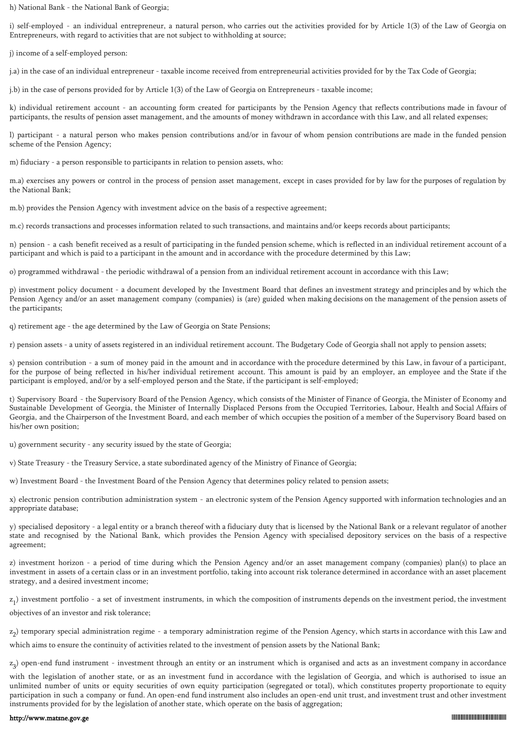h) National Bank - the National Bank of Georgia;

i) self-employed - an individual entrepreneur, a natural person, who carries out the activities provided for by Article 1(3) of the Law of Georgia on Entrepreneurs, with regard to activities that are not subject to withholding at source;

j) income of a self-employed person:

j.a) in the case of an individual entrepreneur - taxable income received from entrepreneurial activities provided for by the Tax Code of Georgia;

j.b) in the case of persons provided for by Article 1(3) of the Law of Georgia on Entrepreneurs - taxable income;

k) individual retirement account - an accounting form created for participants by the Pension Agency that reflects contributions made in favour of participants, the results of pension asset management, and the amounts of money withdrawn in accordance with this Law, and all related expenses;

l) participant - a natural person who makes pension contributions and/or in favour of whom pension contributions are made in the funded pension scheme of the Pension Agency;

m) fiduciary - a person responsible to participants in relation to pension assets, who:

m.a) exercises any powers or control in the process of pension asset management, except in cases provided for by law for the purposes of regulation by the National Bank;

m.b) provides the Pension Agency with investment advice on the basis of a respective agreement;

m.c) records transactions and processes information related to such transactions, and maintains and/or keeps records about participants;

n) pension - a cash benefit received as a result of participating in the funded pension scheme, which is reflected in an individual retirement account of a participant and which is paid to a participant in the amount and in accordance with the procedure determined by this Law;

o) programmed withdrawal - the periodic withdrawal of a pension from an individual retirement account in accordance with this Law;

p) investment policy document - a document developed by the Investment Board that defines an investment strategy and principles and by which the Pension Agency and/or an asset management company (companies) is (are) guided when making decisions on the management of the pension assets of the participants;

q) retirement age - the age determined by the Law of Georgia on State Pensions;

r) pension assets - a unity of assets registered in an individual retirement account. The Budgetary Code of Georgia shall not apply to pension assets;

s) pension contribution - a sum of money paid in the amount and in accordance with the procedure determined by this Law, in favour of a participant, for the purpose of being reflected in his/her individual retirement account. This amount is paid by an employer, an employee and the State if the participant is employed, and/or by a self-employed person and the State, if the participant is self-employed;

t) Supervisory Board - the Supervisory Board of the Pension Agency, which consists of the Minister of Finance of Georgia, the Minister of Economy and Sustainable Development of Georgia, the Minister of Internally Displaced Persons from the Occupied Territories, Labour, Health and Social Affairs of Georgia, and the Chairperson of the Investment Board, and each member of which occupies the position of a member of the Supervisory Board based on his/her own position;

u) government security - any security issued by the state of Georgia;

v) State Treasury - the Treasury Service, a state subordinated agency of the Ministry of Finance of Georgia;

w) Investment Board - the Investment Board of the Pension Agency that determines policy related to pension assets;

x) electronic pension contribution administration system - an electronic system of the Pension Agency supported with information technologies and an appropriate database;

y) specialised depository - a legal entity or a branch thereof with a fiduciary duty that is licensed by the National Bank or a relevant regulator of another state and recognised by the National Bank, which provides the Pension Agency with specialised depository services on the basis of a respective agreement;

z) investment horizon - a period of time during which the Pension Agency and/or an asset management company (companies) plan(s) to place an investment in assets of a certain class or in an investment portfolio, taking into account risk tolerance determined in accordance with an asset placement strategy, and a desired investment income;

 $z_1$ ) investment portfolio - a set of investment instruments, in which the composition of instruments depends on the investment period, the investment

objectives of an investor and risk tolerance;

z 2 ) temporary special administration regime - a temporary administration regime of the Pension Agency, which starts in accordance with this Law and

which aims to ensure the continuity of activities related to the investment of pension assets by the National Bank;

z 3 ) open-end fund instrument - investment through an entity or an instrument which is organised and acts as an investment company in accordance

with the legislation of another state, or as an investment fund in accordance with the legislation of Georgia, and which is authorised to issue an unlimited number of units or equity securities of own equity participation (segregated or total), which constitutes property proportionate to equity participation in such a company or fund. An open-end fund instrument also includes an open-end unit trust, and investment trust and other investment instruments provided for by the legislation of another state, which operate on the basis of aggregation;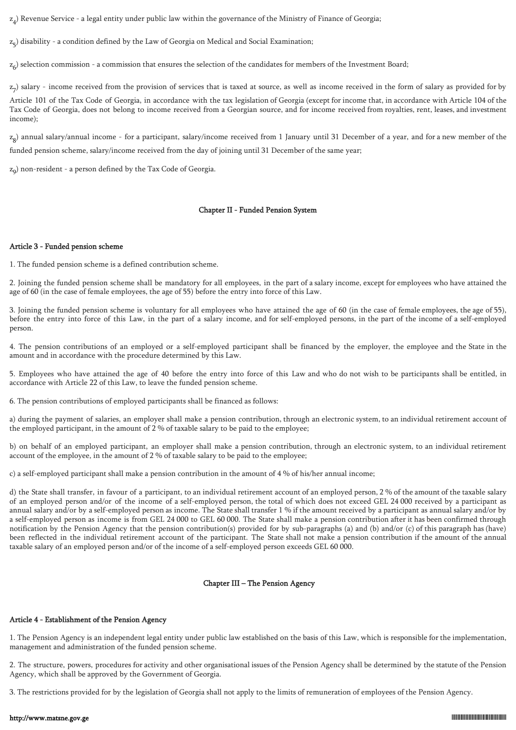z 4 ) Revenue Service - a legal entity under public law within the governance of the Ministry of Finance of Georgia;

z 5 ) disability - a condition defined by the Law of Georgia on Medical and Social Examination;

z 6 ) selection commission - a commission that ensures the selection of the candidates for members of the Investment Board;

 $z_{7}$ ) salary - income received from the provision of services that is taxed at source, as well as income received in the form of salary as provided for by

Article 101 of the Tax Code of Georgia, in accordance with the tax legislation of Georgia (except for income that, in accordance with Article 104 of the Tax Code of Georgia, does not belong to income received from a Georgian source, and for income received from royalties, rent, leases, and investment income);

z 8 ) annual salary/annual income - for a participant, salary/income received from 1 January until 31 December of a year, and for a new member of the funded pension scheme, salary/income received from the day of joining until 31 December of the same year;

z 9 ) non-resident - a person defined by the Tax Code of Georgia.

# Chapter II - Funded Pension System

# Article 3 - Funded pension scheme

1. The funded pension scheme is a defined contribution scheme.

2. Joining the funded pension scheme shall be mandatory for all employees, in the part of a salary income, except for employees who have attained the age of 60 (in the case of female employees, the age of 55) before the entry into force of this Law.

3. Joining the funded pension scheme is voluntary for all employees who have attained the age of 60 (in the case of female employees, the age of 55), before the entry into force of this Law, in the part of a salary income, and for self-employed persons, in the part of the income of a self-employed person.

4. The pension contributions of an employed or a self-employed participant shall be financed by the employer, the employee and the State in the amount and in accordance with the procedure determined by this Law.

5. Employees who have attained the age of 40 before the entry into force of this Law and who do not wish to be participants shall be entitled, in accordance with Article 22 of this Law, to leave the funded pension scheme.

6. The pension contributions of employed participants shall be financed as follows:

a) during the payment of salaries, an employer shall make a pension contribution, through an electronic system, to an individual retirement account of the employed participant, in the amount of 2 % of taxable salary to be paid to the employee;

b) on behalf of an employed participant, an employer shall make a pension contribution, through an electronic system, to an individual retirement account of the employee, in the amount of 2 % of taxable salary to be paid to the employee;

c) a self-employed participant shall make a pension contribution in the amount of 4 % of his/her annual income;

d) the State shall transfer, in favour of a participant, to an individual retirement account of an employed person, 2 % of the amount of the taxable salary of an employed person and/or of the income of a self-employed person, the total of which does not exceed GEL 24 000 received by a participant as annual salary and/or by a self-employed person as income. The State shall transfer 1 % if the amount received by a participant as annual salary and/or by a self-employed person as income is from GEL 24 000 to GEL 60 000. The State shall make a pension contribution after it has been confirmed through notification by the Pension Agency that the pension contribution(s) provided for by sub-paragraphs (a) and (b) and/or (c) of this paragraph has (have) been reflected in the individual retirement account of the participant. The State shall not make a pension contribution if the amount of the annual taxable salary of an employed person and/or of the income of a self-employed person exceeds GEL 60 000.

# Chapter III – The Pension Agency

# Article 4 - Establishment of the Pension Agency

1. The Pension Agency is an independent legal entity under public law established on the basis of this Law, which is responsible for the implementation, management and administration of the funded pension scheme.

2. The structure, powers, procedures for activity and other organisational issues of the Pension Agency shall be determined by the statute of the Pension Agency, which shall be approved by the Government of Georgia.

3. The restrictions provided for by the legislation of Georgia shall not apply to the limits of remuneration of employees of the Pension Agency.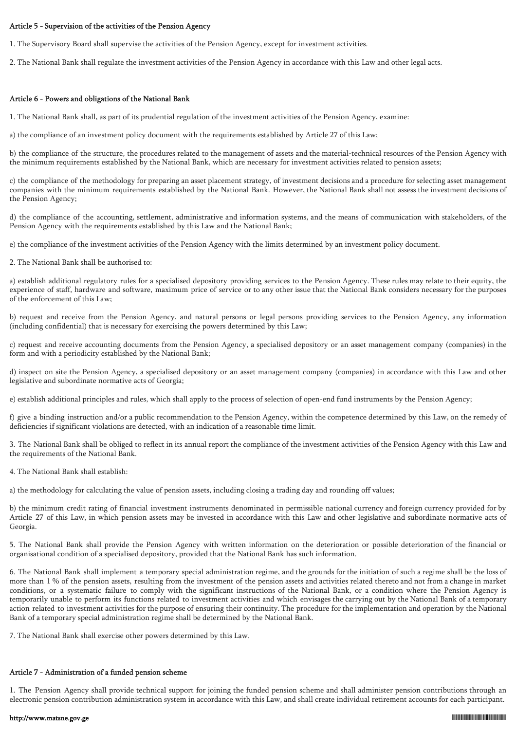## Article 5 - Supervision of the activities of the Pension Agency

1. The Supervisory Board shall supervise the activities of the Pension Agency, except for investment activities.

2. The National Bank shall regulate the investment activities of the Pension Agency in accordance with this Law and other legal acts.

## Article 6 - Powers and obligations of the National Bank

1. The National Bank shall, as part of its prudential regulation of the investment activities of the Pension Agency, examine:

a) the compliance of an investment policy document with the requirements established by Article 27 of this Law;

b) the compliance of the structure, the procedures related to the management of assets and the material-technical resources of the Pension Agency with the minimum requirements established by the National Bank, which are necessary for investment activities related to pension assets;

c) the compliance of the methodology for preparing an asset placement strategy, of investment decisions and a procedure for selecting asset management companies with the minimum requirements established by the National Bank. However, the National Bank shall not assess the investment decisions of the Pension Agency;

d) the compliance of the accounting, settlement, administrative and information systems, and the means of communication with stakeholders, of the Pension Agency with the requirements established by this Law and the National Bank;

e) the compliance of the investment activities of the Pension Agency with the limits determined by an investment policy document.

2. The National Bank shall be authorised to:

a) establish additional regulatory rules for a specialised depository providing services to the Pension Agency. These rules may relate to their equity, the experience of staff, hardware and software, maximum price of service or to any other issue that the National Bank considers necessary for the purposes of the enforcement of this Law;

b) request and receive from the Pension Agency, and natural persons or legal persons providing services to the Pension Agency, any information (including confidential) that is necessary for exercising the powers determined by this Law;

c) request and receive accounting documents from the Pension Agency, a specialised depository or an asset management company (companies) in the form and with a periodicity established by the National Bank;

d) inspect on site the Pension Agency, a specialised depository or an asset management company (companies) in accordance with this Law and other legislative and subordinate normative acts of Georgia;

e) establish additional principles and rules, which shall apply to the process of selection of open-end fund instruments by the Pension Agency;

f) give a binding instruction and/or a public recommendation to the Pension Agency, within the competence determined by this Law, on the remedy of deficiencies if significant violations are detected, with an indication of a reasonable time limit.

3. The National Bank shall be obliged to reflect in its annual report the compliance of the investment activities of the Pension Agency with this Law and the requirements of the National Bank.

4. The National Bank shall establish:

a) the methodology for calculating the value of pension assets, including closing a trading day and rounding off values;

b) the minimum credit rating of financial investment instruments denominated in permissible national currency and foreign currency provided for by Article 27 of this Law, in which pension assets may be invested in accordance with this Law and other legislative and subordinate normative acts of Georgia.

5. The National Bank shall provide the Pension Agency with written information on the deterioration or possible deterioration of the financial or organisational condition of a specialised depository, provided that the National Bank has such information.

6. The National Bank shall implement a temporary special administration regime, and the grounds for the initiation of such a regime shall be the loss of more than 1 % of the pension assets, resulting from the investment of the pension assets and activities related thereto and not from a change in market conditions, or a systematic failure to comply with the significant instructions of the National Bank, or a condition where the Pension Agency is temporarily unable to perform its functions related to investment activities and which envisages the carrying out by the National Bank of a temporary action related to investment activities for the purpose of ensuring their continuity. The procedure for the implementation and operation by the National Bank of a temporary special administration regime shall be determined by the National Bank.

7. The National Bank shall exercise other powers determined by this Law.

# Article 7 - Administration of a funded pension scheme

1. The Pension Agency shall provide technical support for joining the funded pension scheme and shall administer pension contributions through an electronic pension contribution administration system in accordance with this Law, and shall create individual retirement accounts for each participant.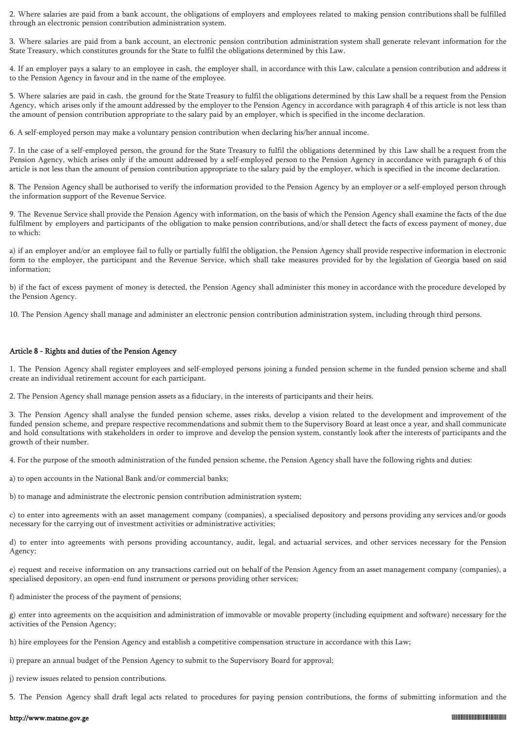2. Where salaries are paid from a bank account, the obligations of employers and employees related to making pension contributions shall be fulfilled through an electronic pension contribution administration system.

3. Where salaries are paid from a bank account, an electronic pension contribution administration system shall generate relevant information for the State Treasury, which constitutes grounds for the State to fulfil the obligations determined by this Law.

4. If an employer pays a salary to an employee in cash, the employer shall, in accordance with this Law, calculate a pension contribution and address it to the Pension Agency in favour and in the name of the employee.

5. Where salaries are paid in cash, the ground for the State Treasury to fulfil the obligations determined by this Law shall be a request from the Pension Agency, which arises only if the amount addressed by the employer to the Pension Agency in accordance with paragraph 4 of this article is not less than the amount of pension contribution appropriate to the salary paid by an employer, which is specified in the income declaration.

6. A self-employed person may make a voluntary pension contribution when declaring his/her annual income.

7. In the case of a self-employed person, the ground for the State Treasury to fulfil the obligations determined by this Law shall be a request from the Pension Agency, which arises only if the amount addressed by a self-employed person to the Pension Agency in accordance with paragraph 6 of this article is not less than the amount of pension contribution appropriate to the salary paid by the employer, which is specified in the income declaration.

8. The Pension Agency shall be authorised to verify the information provided to the Pension Agency by an employer or a self-employed person through the information support of the Revenue Service.

9. The Revenue Service shall provide the Pension Agency with information, on the basis of which the Pension Agency shall examine the facts of the due fulfilment by employers and participants of the obligation to make pension contributions, and/or shall detect the facts of excess payment of money, due to which:

a) if an employer and/or an employee fail to fully or partially fulfil the obligation, the Pension Agency shall provide respective information in electronic form to the employer, the participant and the Revenue Service, which shall take measures provided for by the legislation of Georgia based on said information;

b) if the fact of excess payment of money is detected, the Pension Agency shall administer this money in accordance with the procedure developed by the Pension Agency.

10. The Pension Agency shall manage and administer an electronic pension contribution administration system, including through third persons.

#### Article 8 - Rights and duties of the Pension Agency

1. The Pension Agency shall register employees and self-employed persons joining a funded pension scheme in the funded pension scheme and shall create an individual retirement account for each participant.

2. The Pension Agency shall manage pension assets as a fiduciary, in the interests of participants and their heirs.

3. The Pension Agency shall analyse the funded pension scheme, asses risks, develop a vision related to the development and improvement of the funded pension scheme, and prepare respective recommendations and submit them to the Supervisory Board at least once a year, and shall communicate and hold consultations with stakeholders in order to improve and develop the pension system, constantly look after the interests of participants and the growth of their number.

4. For the purpose of the smooth administration of the funded pension scheme, the Pension Agency shall have the following rights and duties:

a) to open accounts in the National Bank and/or commercial banks;

b) to manage and administrate the electronic pension contribution administration system;

c) to enter into agreements with an asset management company (companies), a specialised depository and persons providing any services and/or goods necessary for the carrying out of investment activities or administrative activities;

d) to enter into agreements with persons providing accountancy, audit, legal, and actuarial services, and other services necessary for the Pension Agency;

e) request and receive information on any transactions carried out on behalf of the Pension Agency from an asset management company (companies), a specialised depository, an open-end fund instrument or persons providing other services;

f) administer the process of the payment of pensions;

g) enter into agreements on the acquisition and administration of immovable or movable property (including equipment and software) necessary for the activities of the Pension Agency;

h) hire employees for the Pension Agency and establish a competitive compensation structure in accordance with this Law;

i) prepare an annual budget of the Pension Agency to submit to the Supervisory Board for approval;

j) review issues related to pension contributions.

5. The Pension Agency shall draft legal acts related to procedures for paying pension contributions, the forms of submitting information and the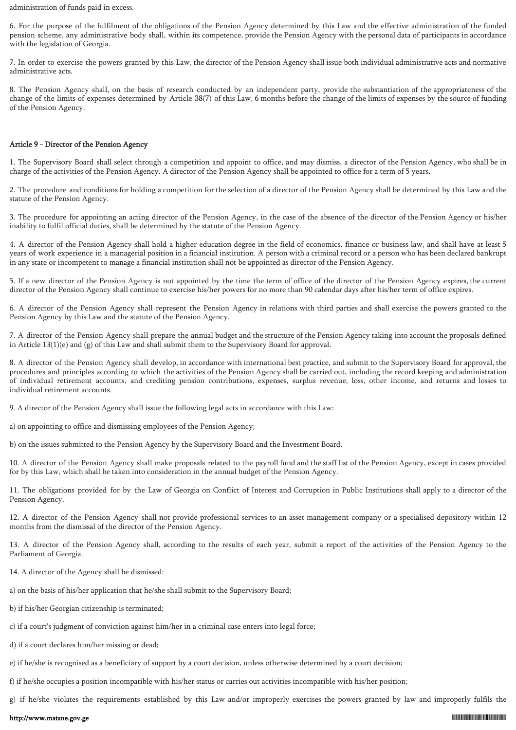administration of funds paid in excess.

6. For the purpose of the fulfilment of the obligations of the Pension Agency determined by this Law and the effective administration of the funded pension scheme, any administrative body shall, within its competence, provide the Pension Agency with the personal data of participants in accordance with the legislation of Georgia.

7. In order to exercise the powers granted by this Law, the director of the Pension Agency shall issue both individual administrative acts and normative administrative acts.

8. The Pension Agency shall, on the basis of research conducted by an independent party, provide the substantiation of the appropriateness of the change of the limits of expenses determined by Article 38(7) of this Law, 6 months before the change of the limits of expenses by the source of funding of the Pension Agency.

# Article 9 - Director of the Pension Agency

1. The Supervisory Board shall select through a competition and appoint to office, and may dismiss, a director of the Pension Agency, who shall be in charge of the activities of the Pension Agency. A director of the Pension Agency shall be appointed to office for a term of 5 years.

2. The procedure and conditions for holding a competition for the selection of a director of the Pension Agency shall be determined by this Law and the statute of the Pension Agency.

3. The procedure for appointing an acting director of the Pension Agency, in the case of the absence of the director of the Pension Agency or his/her inability to fulfil official duties, shall be determined by the statute of the Pension Agency.

4. A director of the Pension Agency shall hold a higher education degree in the field of economics, finance or business law, and shall have at least 5 years of work experience in a managerial position in a financial institution. A person with a criminal record or a person who has been declared bankrupt in any state or incompetent to manage a financial institution shall not be appointed as director of the Pension Agency.

5. If a new director of the Pension Agency is not appointed by the time the term of office of the director of the Pension Agency expires, the current director of the Pension Agency shall continue to exercise his/her powers for no more than 90 calendar days after his/her term of office expires.

6. A director of the Pension Agency shall represent the Pension Agency in relations with third parties and shall exercise the powers granted to the Pension Agency by this Law and the statute of the Pension Agency.

7. A director of the Pension Agency shall prepare the annual budget and the structure of the Pension Agency taking into account the proposals defined in Article  $13(1)(e)$  and  $(g)$  of this Law and shall submit them to the Supervisory Board for approval.

8. A director of the Pension Agency shall develop, in accordance with international best practice, and submit to the Supervisory Board for approval, the procedures and principles according to which the activities of the Pension Agency shall be carried out, including the record keeping and administration of individual retirement accounts, and crediting pension contributions, expenses, surplus revenue, loss, other income, and returns and losses to individual retirement accounts.

9. A director of the Pension Agency shall issue the following legal acts in accordance with this Law:

a) on appointing to office and dismissing employees of the Pension Agency;

b) on the issues submitted to the Pension Agency by the Supervisory Board and the Investment Board.

10. A director of the Pension Agency shall make proposals related to the payroll fund and the staff list of the Pension Agency, except in cases provided for by this Law, which shall be taken into consideration in the annual budget of the Pension Agency.

11. The obligations provided for by the Law of Georgia on Conflict of Interest and Corruption in Public Institutions shall apply to a director of the Pension Agency.

12. A director of the Pension Agency shall not provide professional services to an asset management company or a specialised depository within 12 months from the dismissal of the director of the Pension Agency.

13. A director of the Pension Agency shall, according to the results of each year, submit a report of the activities of the Pension Agency to the Parliament of Georgia.

- 14. A director of the Agency shall be dismissed:
- a) on the basis of his/her application that he/she shall submit to the Supervisory Board;
- b) if his/her Georgian citizenship is terminated;
- c) if a court's judgment of conviction against him/her in a criminal case enters into legal force;
- d) if a court declares him/her missing or dead;
- e) if he/she is recognised as a beneficiary of support by a court decision, unless otherwise determined by a court decision;
- f) if he/she occupies a position incompatible with his/her status or carries out activities incompatible with his/her position;

g) if he/she violates the requirements established by this Law and/or improperly exercises the powers granted by law and improperly fulfils the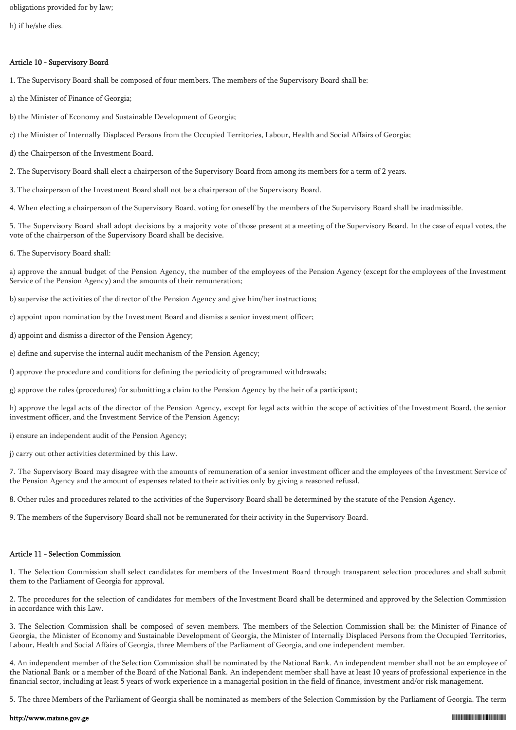obligations provided for by law;

h) if he/she dies.

# Article 10 - Supervisory Board

1. The Supervisory Board shall be composed of four members. The members of the Supervisory Board shall be:

- a) the Minister of Finance of Georgia;
- b) the Minister of Economy and Sustainable Development of Georgia;
- c) the Minister of Internally Displaced Persons from the Occupied Territories, Labour, Health and Social Affairs of Georgia;
- d) the Chairperson of the Investment Board.
- 2. The Supervisory Board shall elect a chairperson of the Supervisory Board from among its members for a term of 2 years.
- 3. The chairperson of the Investment Board shall not be a chairperson of the Supervisory Board.

4. When electing a chairperson of the Supervisory Board, voting for oneself by the members of the Supervisory Board shall be inadmissible.

5. The Supervisory Board shall adopt decisions by a majority vote of those present at a meeting of the Supervisory Board. In the case of equal votes, the vote of the chairperson of the Supervisory Board shall be decisive.

6. The Supervisory Board shall:

a) approve the annual budget of the Pension Agency, the number of the employees of the Pension Agency (except for the employees of the Investment Service of the Pension Agency) and the amounts of their remuneration;

- b) supervise the activities of the director of the Pension Agency and give him/her instructions;
- c) appoint upon nomination by the Investment Board and dismiss a senior investment officer;
- d) appoint and dismiss a director of the Pension Agency;
- e) define and supervise the internal audit mechanism of the Pension Agency;
- f) approve the procedure and conditions for defining the periodicity of programmed withdrawals;

g) approve the rules (procedures) for submitting a claim to the Pension Agency by the heir of a participant;

h) approve the legal acts of the director of the Pension Agency, except for legal acts within the scope of activities of the Investment Board, the senior investment officer, and the Investment Service of the Pension Agency;

i) ensure an independent audit of the Pension Agency;

j) carry out other activities determined by this Law.

7. The Supervisory Board may disagree with the amounts of remuneration of a senior investment officer and the employees of the Investment Service of the Pension Agency and the amount of expenses related to their activities only by giving a reasoned refusal.

8. Other rules and procedures related to the activities of the Supervisory Board shall be determined by the statute of the Pension Agency.

9. The members of the Supervisory Board shall not be remunerated for their activity in the Supervisory Board.

# Article 11 - Selection Commission

1. The Selection Commission shall select candidates for members of the Investment Board through transparent selection procedures and shall submit them to the Parliament of Georgia for approval.

2. The procedures for the selection of candidates for members of the Investment Board shall be determined and approved by the Selection Commission in accordance with this Law.

3. The Selection Commission shall be composed of seven members. The members of the Selection Commission shall be: the Minister of Finance of Georgia, the Minister of Economy and Sustainable Development of Georgia, the Minister of Internally Displaced Persons from the Occupied Territories, Labour, Health and Social Affairs of Georgia, three Members of the Parliament of Georgia, and one independent member.

4. An independent member of the Selection Commission shall be nominated by the National Bank. An independent member shall not be an employee of the National Bank or a member of the Board of the National Bank. An independent member shall have at least 10 years of professional experience in the financial sector, including at least 5 years of work experience in a managerial position in the field of finance, investment and/or risk management.

5. The three Members of the Parliament of Georgia shall be nominated as members of the Selection Commission by the Parliament of Georgia. The term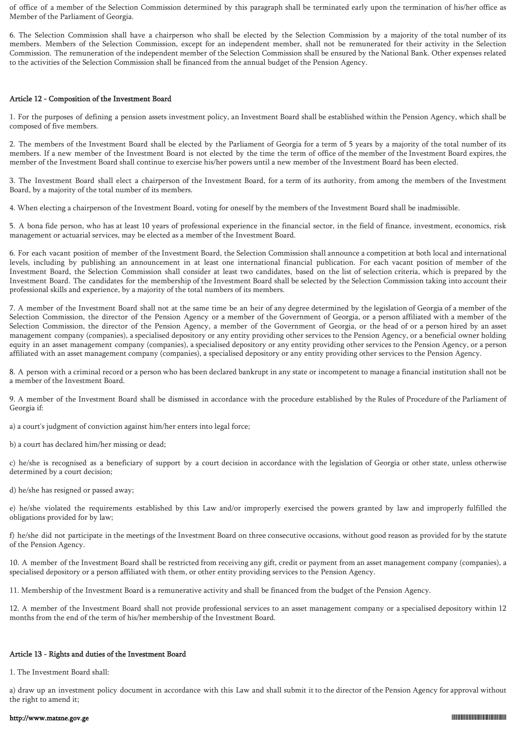of office of a member of the Selection Commission determined by this paragraph shall be terminated early upon the termination of his/her office as Member of the Parliament of Georgia.

6. The Selection Commission shall have a chairperson who shall be elected by the Selection Commission by a majority of the total number of its members. Members of the Selection Commission, except for an independent member, shall not be remunerated for their activity in the Selection Commission. The remuneration of the independent member of the Selection Commission shall be ensured by the National Bank. Other expenses related to the activities of the Selection Commission shall be financed from the annual budget of the Pension Agency.

# Article 12 - Composition of the Investment Board

1. For the purposes of defining a pension assets investment policy, an Investment Board shall be established within the Pension Agency, which shall be composed of five members.

2. The members of the Investment Board shall be elected by the Parliament of Georgia for a term of 5 years by a majority of the total number of its members. If a new member of the Investment Board is not elected by the time the term of office of the member of the Investment Board expires, the member of the Investment Board shall continue to exercise his/her powers until a new member of the Investment Board has been elected.

3. The Investment Board shall elect a chairperson of the Investment Board, for a term of its authority, from among the members of the Investment Board, by a majority of the total number of its members.

4. When electing a chairperson of the Investment Board, voting for oneself by the members of the Investment Board shall be inadmissible.

5. A bona fide person, who has at least 10 years of professional experience in the financial sector, in the field of finance, investment, economics, risk management or actuarial services, may be elected as a member of the Investment Board.

6. For each vacant position of member of the Investment Board, the Selection Commission shall announce a competition at both local and international levels, including by publishing an announcement in at least one international financial publication. For each vacant position of member of the Investment Board, the Selection Commission shall consider at least two candidates, based on the list of selection criteria, which is prepared by the Investment Board. The candidates for the membership of the Investment Board shall be selected by the Selection Commission taking into account their professional skills and experience, by a majority of the total numbers of its members.

7. A member of the Investment Board shall not at the same time be an heir of any degree determined by the legislation of Georgia of a member of the Selection Commission, the director of the Pension Agency or a member of the Government of Georgia, or a person affiliated with a member of the Selection Commission, the director of the Pension Agency, a member of the Government of Georgia, or the head of or a person hired by an asset management company (companies), a specialised depository or any entity providing other services to the Pension Agency, or a beneficial owner holding equity in an asset management company (companies), a specialised depository or any entity providing other services to the Pension Agency, or a person affiliated with an asset management company (companies), a specialised depository or any entity providing other services to the Pension Agency.

8. A person with a criminal record or a person who has been declared bankrupt in any state or incompetent to manage a financial institution shall not be a member of the Investment Board.

9. A member of the Investment Board shall be dismissed in accordance with the procedure established by the Rules of Procedure of the Parliament of Georgia if:

a) a court's judgment of conviction against him/her enters into legal force;

b) a court has declared him/her missing or dead;

c) he/she is recognised as a beneficiary of support by a court decision in accordance with the legislation of Georgia or other state, unless otherwise determined by a court decision;

d) he/she has resigned or passed away;

e) he/she violated the requirements established by this Law and/or improperly exercised the powers granted by law and improperly fulfilled the obligations provided for by law;

f) he/she did not participate in the meetings of the Investment Board on three consecutive occasions, without good reason as provided for by the statute of the Pension Agency.

10. A member of the Investment Board shall be restricted from receiving any gift, credit or payment from an asset management company (companies), a specialised depository or a person affiliated with them, or other entity providing services to the Pension Agency.

11. Membership of the Investment Board is a remunerative activity and shall be financed from the budget of the Pension Agency.

12. A member of the Investment Board shall not provide professional services to an asset management company or a specialised depository within 12 months from the end of the term of his/her membership of the Investment Board.

#### Article 13 - Rights and duties of the Investment Board

1. The Investment Board shall:

a) draw up an investment policy document in accordance with this Law and shall submit it to the director of the Pension Agency for approval without the right to amend it;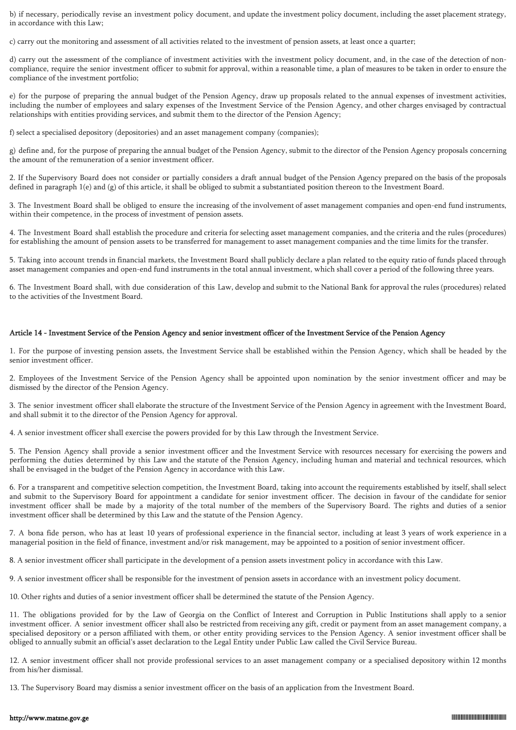b) if necessary, periodically revise an investment policy document, and update the investment policy document, including the asset placement strategy, in accordance with this Law;

c) carry out the monitoring and assessment of all activities related to the investment of pension assets, at least once a quarter;

d) carry out the assessment of the compliance of investment activities with the investment policy document, and, in the case of the detection of noncompliance, require the senior investment officer to submit for approval, within a reasonable time, a plan of measures to be taken in order to ensure the compliance of the investment portfolio;

e) for the purpose of preparing the annual budget of the Pension Agency, draw up proposals related to the annual expenses of investment activities, including the number of employees and salary expenses of the Investment Service of the Pension Agency, and other charges envisaged by contractual relationships with entities providing services, and submit them to the director of the Pension Agency;

f) select a specialised depository (depositories) and an asset management company (companies);

g) define and, for the purpose of preparing the annual budget of the Pension Agency, submit to the director of the Pension Agency proposals concerning the amount of the remuneration of a senior investment officer.

2. If the Supervisory Board does not consider or partially considers a draft annual budget of the Pension Agency prepared on the basis of the proposals defined in paragraph 1(e) and (g) of this article, it shall be obliged to submit a substantiated position thereon to the Investment Board.

3. The Investment Board shall be obliged to ensure the increasing of the involvement of asset management companies and open-end fund instruments, within their competence, in the process of investment of pension assets.

4. The Investment Board shall establish the procedure and criteria for selecting asset management companies, and the criteria and the rules (procedures) for establishing the amount of pension assets to be transferred for management to asset management companies and the time limits for the transfer.

5. Taking into account trends in financial markets, the Investment Board shall publicly declare a plan related to the equity ratio of funds placed through asset management companies and open-end fund instruments in the total annual investment, which shall cover a period of the following three years.

6. The Investment Board shall, with due consideration of this Law, develop and submit to the National Bank for approval the rules (procedures) related to the activities of the Investment Board.

#### Article 14 - Investment Service of the Pension Agency and senior investment officer of the Investment Service of the Pension Agency

1. For the purpose of investing pension assets, the Investment Service shall be established within the Pension Agency, which shall be headed by the senior investment officer.

2. Employees of the Investment Service of the Pension Agency shall be appointed upon nomination by the senior investment officer and may be dismissed by the director of the Pension Agency.

3. The senior investment officer shall elaborate the structure of the Investment Service of the Pension Agency in agreement with the Investment Board, and shall submit it to the director of the Pension Agency for approval.

4. A senior investment officer shall exercise the powers provided for by this Law through the Investment Service.

5. The Pension Agency shall provide a senior investment officer and the Investment Service with resources necessary for exercising the powers and performing the duties determined by this Law and the statute of the Pension Agency, including human and material and technical resources, which shall be envisaged in the budget of the Pension Agency in accordance with this Law.

6. For a transparent and competitive selection competition, the Investment Board, taking into account the requirements established by itself, shall select and submit to the Supervisory Board for appointment a candidate for senior investment officer. The decision in favour of the candidate for senior investment officer shall be made by a majority of the total number of the members of the Supervisory Board. The rights and duties of a senior investment officer shall be determined by this Law and the statute of the Pension Agency.

7. A bona fide person, who has at least 10 years of professional experience in the financial sector, including at least 3 years of work experience in a managerial position in the field of finance, investment and/or risk management, may be appointed to a position of senior investment officer.

8. A senior investment officer shall participate in the development of a pension assets investment policy in accordance with this Law.

9. A senior investment officer shall be responsible for the investment of pension assets in accordance with an investment policy document.

10. Other rights and duties of a senior investment officer shall be determined the statute of the Pension Agency.

11. The obligations provided for by the Law of Georgia on the Conflict of Interest and Corruption in Public Institutions shall apply to a senior investment officer. A senior investment officer shall also be restricted from receiving any gift, credit or payment from an asset management company, a specialised depository or a person affiliated with them, or other entity providing services to the Pension Agency. A senior investment officer shall be obliged to annually submit an official's asset declaration to the Legal Entity under Public Law called the Civil Service Bureau.

12. A senior investment officer shall not provide professional services to an asset management company or a specialised depository within 12 months from his/her dismissal.

13. The Supervisory Board may dismiss a senior investment officer on the basis of an application from the Investment Board.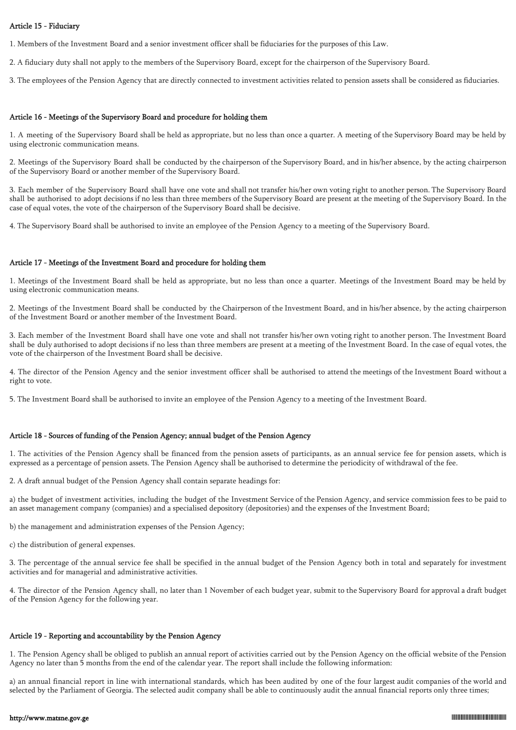### Article 15 - Fiduciary

1. Members of the Investment Board and a senior investment officer shall be fiduciaries for the purposes of this Law.

2. A fiduciary duty shall not apply to the members of the Supervisory Board, except for the chairperson of the Supervisory Board.

3. The employees of the Pension Agency that are directly connected to investment activities related to pension assets shall be considered as fiduciaries.

### Article 16 - Meetings of the Supervisory Board and procedure for holding them

1. A meeting of the Supervisory Board shall be held as appropriate, but no less than once a quarter. A meeting of the Supervisory Board may be held by using electronic communication means.

2. Meetings of the Supervisory Board shall be conducted by the chairperson of the Supervisory Board, and in his/her absence, by the acting chairperson of the Supervisory Board or another member of the Supervisory Board.

3. Each member of the Supervisory Board shall have one vote and shall not transfer his/her own voting right to another person. The Supervisory Board shall be authorised to adopt decisions if no less than three members of the Supervisory Board are present at the meeting of the Supervisory Board. In the case of equal votes, the vote of the chairperson of the Supervisory Board shall be decisive.

4. The Supervisory Board shall be authorised to invite an employee of the Pension Agency to a meeting of the Supervisory Board.

### Article 17 - Meetings of the Investment Board and procedure for holding them

1. Meetings of the Investment Board shall be held as appropriate, but no less than once a quarter. Meetings of the Investment Board may be held by using electronic communication means.

2. Meetings of the Investment Board shall be conducted by the Chairperson of the Investment Board, and in his/her absence, by the acting chairperson of the Investment Board or another member of the Investment Board.

3. Each member of the Investment Board shall have one vote and shall not transfer his/her own voting right to another person. The Investment Board shall be duly authorised to adopt decisions if no less than three members are present at a meeting of the Investment Board. In the case of equal votes, the vote of the chairperson of the Investment Board shall be decisive.

4. The director of the Pension Agency and the senior investment officer shall be authorised to attend the meetings of the Investment Board without a right to vote.

5. The Investment Board shall be authorised to invite an employee of the Pension Agency to a meeting of the Investment Board.

# Article 18 - Sources of funding of the Pension Agency; annual budget of the Pension Agency

1. The activities of the Pension Agency shall be financed from the pension assets of participants, as an annual service fee for pension assets, which is expressed as a percentage of pension assets. The Pension Agency shall be authorised to determine the periodicity of withdrawal of the fee.

2. A draft annual budget of the Pension Agency shall contain separate headings for:

a) the budget of investment activities, including the budget of the Investment Service of the Pension Agency, and service commission fees to be paid to an asset management company (companies) and a specialised depository (depositories) and the expenses of the Investment Board;

b) the management and administration expenses of the Pension Agency;

c) the distribution of general expenses.

3. The percentage of the annual service fee shall be specified in the annual budget of the Pension Agency both in total and separately for investment activities and for managerial and administrative activities.

4. The director of the Pension Agency shall, no later than 1 November of each budget year, submit to the Supervisory Board for approval a draft budget of the Pension Agency for the following year.

# Article 19 - Reporting and accountability by the Pension Agency

1. The Pension Agency shall be obliged to publish an annual report of activities carried out by the Pension Agency on the official website of the Pension Agency no later than 5 months from the end of the calendar year. The report shall include the following information:

a) an annual financial report in line with international standards, which has been audited by one of the four largest audit companies of the world and selected by the Parliament of Georgia. The selected audit company shall be able to continuously audit the annual financial reports only three times;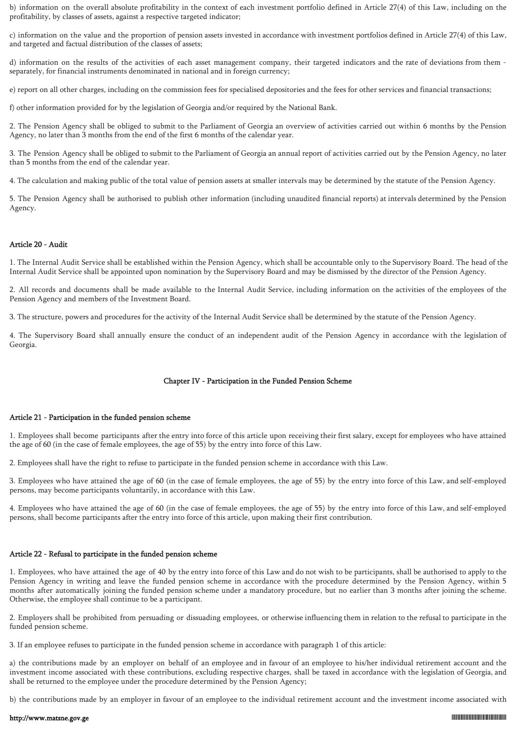b) information on the overall absolute profitability in the context of each investment portfolio defined in Article 27(4) of this Law, including on the profitability, by classes of assets, against a respective targeted indicator;

c) information on the value and the proportion of pension assets invested in accordance with investment portfolios defined in Article 27(4) of this Law, and targeted and factual distribution of the classes of assets;

d) information on the results of the activities of each asset management company, their targeted indicators and the rate of deviations from them separately, for financial instruments denominated in national and in foreign currency;

e) report on all other charges, including on the commission fees for specialised depositories and the fees for other services and financial transactions;

f) other information provided for by the legislation of Georgia and/or required by the National Bank.

2. The Pension Agency shall be obliged to submit to the Parliament of Georgia an overview of activities carried out within 6 months by the Pension Agency, no later than 3 months from the end of the first 6 months of the calendar year.

3. The Pension Agency shall be obliged to submit to the Parliament of Georgia an annual report of activities carried out by the Pension Agency, no later than 5 months from the end of the calendar year.

4. The calculation and making public of the total value of pension assets at smaller intervals may be determined by the statute of the Pension Agency.

5. The Pension Agency shall be authorised to publish other information (including unaudited financial reports) at intervals determined by the Pension Agency.

# Article 20 - Audit

1. The Internal Audit Service shall be established within the Pension Agency, which shall be accountable only to the Supervisory Board. The head of the Internal Audit Service shall be appointed upon nomination by the Supervisory Board and may be dismissed by the director of the Pension Agency.

2. All records and documents shall be made available to the Internal Audit Service, including information on the activities of the employees of the Pension Agency and members of the Investment Board.

3. The structure, powers and procedures for the activity of the Internal Audit Service shall be determined by the statute of the Pension Agency.

4. The Supervisory Board shall annually ensure the conduct of an independent audit of the Pension Agency in accordance with the legislation of Georgia.

# Chapter IV - Participation in the Funded Pension Scheme

# Article 21 - Participation in the funded pension scheme

1. Employees shall become participants after the entry into force of this article upon receiving their first salary, except for employees who have attained the age of 60 (in the case of female employees, the age of 55) by the entry into force of this Law.

2. Employees shall have the right to refuse to participate in the funded pension scheme in accordance with this Law.

3. Employees who have attained the age of 60 (in the case of female employees, the age of 55) by the entry into force of this Law, and self-employed persons, may become participants voluntarily, in accordance with this Law.

4. Employees who have attained the age of 60 (in the case of female employees, the age of 55) by the entry into force of this Law, and self-employed persons, shall become participants after the entry into force of this article, upon making their first contribution.

# Article 22 - Refusal to participate in the funded pension scheme

1. Employees, who have attained the age of 40 by the entry into force of this Law and do not wish to be participants, shall be authorised to apply to the Pension Agency in writing and leave the funded pension scheme in accordance with the procedure determined by the Pension Agency, within 5 months after automatically joining the funded pension scheme under a mandatory procedure, but no earlier than 3 months after joining the scheme. Otherwise, the employee shall continue to be a participant.

2. Employers shall be prohibited from persuading or dissuading employees, or otherwise influencing them in relation to the refusal to participate in the funded pension scheme.

3. If an employee refuses to participate in the funded pension scheme in accordance with paragraph 1 of this article:

a) the contributions made by an employer on behalf of an employee and in favour of an employee to his/her individual retirement account and the investment income associated with these contributions, excluding respective charges, shall be taxed in accordance with the legislation of Georgia, and shall be returned to the employee under the procedure determined by the Pension Agency;

b) the contributions made by an employer in favour of an employee to the individual retirement account and the investment income associated with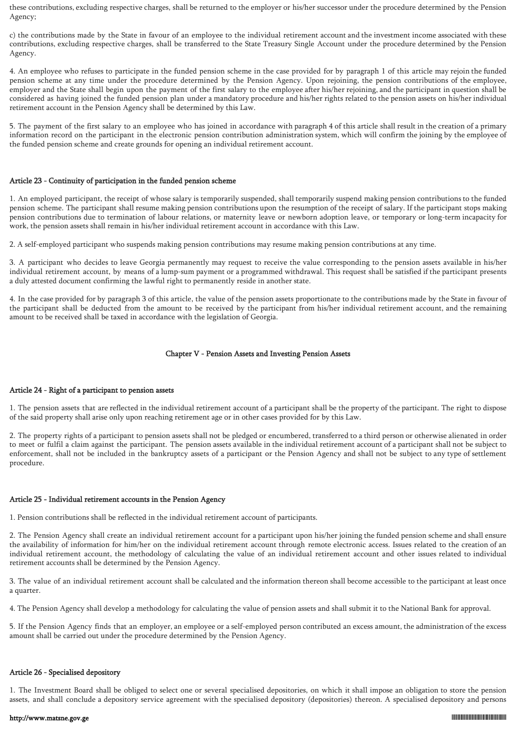these contributions, excluding respective charges, shall be returned to the employer or his/her successor under the procedure determined by the Pension Agency;

c) the contributions made by the State in favour of an employee to the individual retirement account and the investment income associated with these contributions, excluding respective charges, shall be transferred to the State Treasury Single Account under the procedure determined by the Pension Agency.

4. An employee who refuses to participate in the funded pension scheme in the case provided for by paragraph 1 of this article may rejoin the funded pension scheme at any time under the procedure determined by the Pension Agency. Upon rejoining, the pension contributions of the employee, employer and the State shall begin upon the payment of the first salary to the employee after his/her rejoining, and the participant in question shall be considered as having joined the funded pension plan under a mandatory procedure and his/her rights related to the pension assets on his/her individual retirement account in the Pension Agency shall be determined by this Law.

5. The payment of the first salary to an employee who has joined in accordance with paragraph 4 of this article shall result in the creation of a primary information record on the participant in the electronic pension contribution administration system, which will confirm the joining by the employee of the funded pension scheme and create grounds for opening an individual retirement account.

#### Article 23 - Continuity of participation in the funded pension scheme

1. An employed participant, the receipt of whose salary is temporarily suspended, shall temporarily suspend making pension contributions to the funded pension scheme. The participant shall resume making pension contributions upon the resumption of the receipt of salary. If the participant stops making pension contributions due to termination of labour relations, or maternity leave or newborn adoption leave, or temporary or long-term incapacity for work, the pension assets shall remain in his/her individual retirement account in accordance with this Law.

2. A self-employed participant who suspends making pension contributions may resume making pension contributions at any time.

3. A participant who decides to leave Georgia permanently may request to receive the value corresponding to the pension assets available in his/her individual retirement account, by means of a lump-sum payment or a programmed withdrawal. This request shall be satisfied if the participant presents a duly attested document confirming the lawful right to permanently reside in another state.

4. In the case provided for by paragraph 3 of this article, the value of the pension assets proportionate to the contributions made by the State in favour of the participant shall be deducted from the amount to be received by the participant from his/her individual retirement account, and the remaining amount to be received shall be taxed in accordance with the legislation of Georgia.

#### Chapter V - Pension Assets and Investing Pension Assets

#### Article 24 - Right of a participant to pension assets

1. The pension assets that are reflected in the individual retirement account of a participant shall be the property of the participant. The right to dispose of the said property shall arise only upon reaching retirement age or in other cases provided for by this Law.

2. The property rights of a participant to pension assets shall not be pledged or encumbered, transferred to a third person or otherwise alienated in order to meet or fulfil a claim against the participant. The pension assets available in the individual retirement account of a participant shall not be subject to enforcement, shall not be included in the bankruptcy assets of a participant or the Pension Agency and shall not be subject to any type of settlement procedure.

#### Article 25 - Individual retirement accounts in the Pension Agency

1. Pension contributions shall be reflected in the individual retirement account of participants.

2. The Pension Agency shall create an individual retirement account for a participant upon his/her joining the funded pension scheme and shall ensure the availability of information for him/her on the individual retirement account through remote electronic access. Issues related to the creation of an individual retirement account, the methodology of calculating the value of an individual retirement account and other issues related to individual retirement accounts shall be determined by the Pension Agency.

3. The value of an individual retirement account shall be calculated and the information thereon shall become accessible to the participant at least once a quarter.

4. The Pension Agency shall develop a methodology for calculating the value of pension assets and shall submit it to the National Bank for approval.

5. If the Pension Agency finds that an employer, an employee or a self-employed person contributed an excess amount, the administration of the excess amount shall be carried out under the procedure determined by the Pension Agency.

# Article 26 - Specialised depository

1. The Investment Board shall be obliged to select one or several specialised depositories, on which it shall impose an obligation to store the pension assets, and shall conclude a depository service agreement with the specialised depository (depositories) thereon. A specialised depository and persons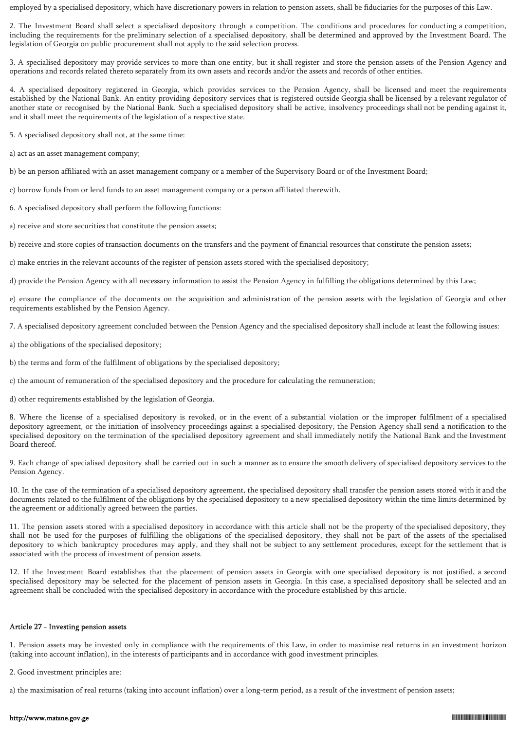employed by a specialised depository, which have discretionary powers in relation to pension assets, shall be fiduciaries for the purposes of this Law.

2. The Investment Board shall select a specialised depository through a competition. The conditions and procedures for conducting a competition, including the requirements for the preliminary selection of a specialised depository, shall be determined and approved by the Investment Board. The legislation of Georgia on public procurement shall not apply to the said selection process.

3. A specialised depository may provide services to more than one entity, but it shall register and store the pension assets of the Pension Agency and operations and records related thereto separately from its own assets and records and/or the assets and records of other entities.

4. A specialised depository registered in Georgia, which provides services to the Pension Agency, shall be licensed and meet the requirements established by the National Bank. An entity providing depository services that is registered outside Georgia shall be licensed by a relevant regulator of another state or recognised by the National Bank. Such a specialised depository shall be active, insolvency proceedings shall not be pending against it, and it shall meet the requirements of the legislation of a respective state.

5. A specialised depository shall not, at the same time:

a) act as an asset management company;

b) be an person affiliated with an asset management company or a member of the Supervisory Board or of the Investment Board;

c) borrow funds from or lend funds to an asset management company or a person affiliated therewith.

6. A specialised depository shall perform the following functions:

a) receive and store securities that constitute the pension assets;

b) receive and store copies of transaction documents on the transfers and the payment of financial resources that constitute the pension assets;

c) make entries in the relevant accounts of the register of pension assets stored with the specialised depository;

d) provide the Pension Agency with all necessary information to assist the Pension Agency in fulfilling the obligations determined by this Law;

e) ensure the compliance of the documents on the acquisition and administration of the pension assets with the legislation of Georgia and other requirements established by the Pension Agency.

7. A specialised depository agreement concluded between the Pension Agency and the specialised depository shall include at least the following issues:

a) the obligations of the specialised depository;

b) the terms and form of the fulfilment of obligations by the specialised depository;

c) the amount of remuneration of the specialised depository and the procedure for calculating the remuneration;

d) other requirements established by the legislation of Georgia.

8. Where the license of a specialised depository is revoked, or in the event of a substantial violation or the improper fulfilment of a specialised depository agreement, or the initiation of insolvency proceedings against a specialised depository, the Pension Agency shall send a notification to the specialised depository on the termination of the specialised depository agreement and shall immediately notify the National Bank and the Investment Board thereof.

9. Each change of specialised depository shall be carried out in such a manner as to ensure the smooth delivery of specialised depository services to the Pension Agency.

10. In the case of the termination of a specialised depository agreement, the specialised depository shall transfer the pension assets stored with it and the documents related to the fulfilment of the obligations by the specialised depository to a new specialised depository within the time limits determined by the agreement or additionally agreed between the parties.

11. The pension assets stored with a specialised depository in accordance with this article shall not be the property of the specialised depository, they shall not be used for the purposes of fulfilling the obligations of the specialised depository, they shall not be part of the assets of the specialised depository to which bankruptcy procedures may apply, and they shall not be subject to any settlement procedures, except for the settlement that is associated with the process of investment of pension assets.

12. If the Investment Board establishes that the placement of pension assets in Georgia with one specialised depository is not justified, a second specialised depository may be selected for the placement of pension assets in Georgia. In this case, a specialised depository shall be selected and an agreement shall be concluded with the specialised depository in accordance with the procedure established by this article.

# Article 27 - Investing pension assets

1. Pension assets may be invested only in compliance with the requirements of this Law, in order to maximise real returns in an investment horizon (taking into account inflation), in the interests of participants and in accordance with good investment principles.

2. Good investment principles are:

a) the maximisation of real returns (taking into account inflation) over a long-term period, as a result of the investment of pension assets;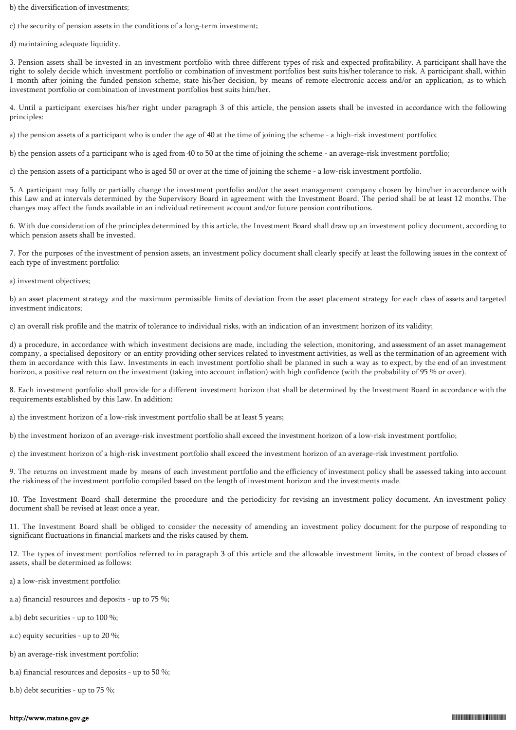b) the diversification of investments;

c) the security of pension assets in the conditions of a long-term investment;

d) maintaining adequate liquidity.

3. Pension assets shall be invested in an investment portfolio with three different types of risk and expected profitability. A participant shall have the right to solely decide which investment portfolio or combination of investment portfolios best suits his/her tolerance to risk. A participant shall, within 1 month after joining the funded pension scheme, state his/her decision, by means of remote electronic access and/or an application, as to which investment portfolio or combination of investment portfolios best suits him/her.

4. Until a participant exercises his/her right under paragraph 3 of this article, the pension assets shall be invested in accordance with the following principles:

a) the pension assets of a participant who is under the age of 40 at the time of joining the scheme - a high-risk investment portfolio;

b) the pension assets of a participant who is aged from 40 to 50 at the time of joining the scheme - an average-risk investment portfolio;

c) the pension assets of a participant who is aged 50 or over at the time of joining the scheme - a low-risk investment portfolio.

5. A participant may fully or partially change the investment portfolio and/or the asset management company chosen by him/her in accordance with this Law and at intervals determined by the Supervisory Board in agreement with the Investment Board. The period shall be at least 12 months. The changes may affect the funds available in an individual retirement account and/or future pension contributions.

6. With due consideration of the principles determined by this article, the Investment Board shall draw up an investment policy document, according to which pension assets shall be invested.

7. For the purposes of the investment of pension assets, an investment policy document shall clearly specify at least the following issues in the context of each type of investment portfolio:

a) investment objectives;

b) an asset placement strategy and the maximum permissible limits of deviation from the asset placement strategy for each class of assets and targeted investment indicators;

c) an overall risk profile and the matrix of tolerance to individual risks, with an indication of an investment horizon of its validity;

d) a procedure, in accordance with which investment decisions are made, including the selection, monitoring, and assessment of an asset management company, a specialised depository or an entity providing other services related to investment activities, as well as the termination of an agreement with them in accordance with this Law. Investments in each investment portfolio shall be planned in such a way as to expect, by the end of an investment horizon, a positive real return on the investment (taking into account inflation) with high confidence (with the probability of 95 % or over).

8. Each investment portfolio shall provide for a different investment horizon that shall be determined by the Investment Board in accordance with the requirements established by this Law. In addition:

a) the investment horizon of a low-risk investment portfolio shall be at least 5 years;

b) the investment horizon of an average-risk investment portfolio shall exceed the investment horizon of a low-risk investment portfolio;

c) the investment horizon of a high-risk investment portfolio shall exceed the investment horizon of an average-risk investment portfolio.

9. The returns on investment made by means of each investment portfolio and the efficiency of investment policy shall be assessed taking into account the riskiness of the investment portfolio compiled based on the length of investment horizon and the investments made.

10. The Investment Board shall determine the procedure and the periodicity for revising an investment policy document. An investment policy document shall be revised at least once a year.

11. The Investment Board shall be obliged to consider the necessity of amending an investment policy document for the purpose of responding to significant fluctuations in financial markets and the risks caused by them.

12. The types of investment portfolios referred to in paragraph 3 of this article and the allowable investment limits, in the context of broad classes of assets, shall be determined as follows:

- a) a low-risk investment portfolio:
- a.a) financial resources and deposits up to 75 %;
- a.b) debt securities up to 100 %;
- a.c) equity securities up to 20 %;
- b) an average-risk investment portfolio:
- b.a) financial resources and deposits up to 50 %;
- b.b) debt securities up to 75 %;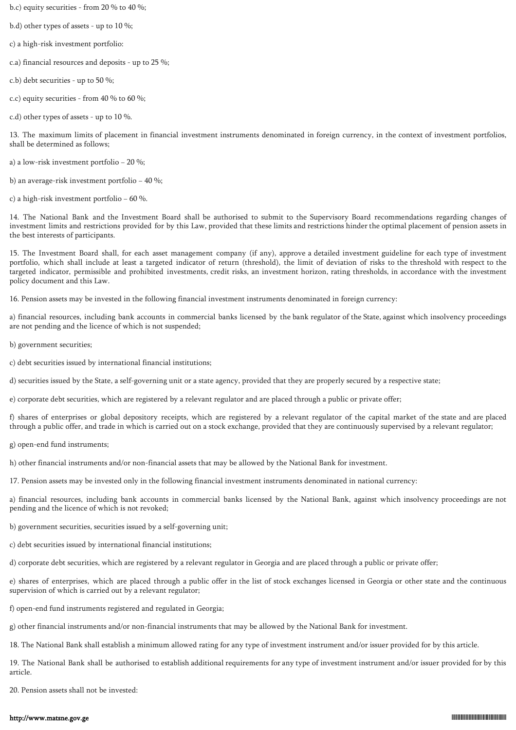- b.c) equity securities from 20 % to 40 %;
- b.d) other types of assets up to 10 %;
- c) a high-risk investment portfolio:
- c.a) financial resources and deposits up to 25 %;
- c.b) debt securities up to 50 %;
- c.c) equity securities from 40 % to 60 %;
- c.d) other types of assets up to 10 %.

13. The maximum limits of placement in financial investment instruments denominated in foreign currency, in the context of investment portfolios, shall be determined as follows;

a) a low-risk investment portfolio − 20 %;

b) an average-risk investment portfolio − 40 %;

c) a high-risk investment portfolio − 60 %.

14. The National Bank and the Investment Board shall be authorised to submit to the Supervisory Board recommendations regarding changes of investment limits and restrictions provided for by this Law, provided that these limits and restrictions hinder the optimal placement of pension assets in the best interests of participants.

15. The Investment Board shall, for each asset management company (if any), approve a detailed investment guideline for each type of investment portfolio, which shall include at least a targeted indicator of return (threshold), the limit of deviation of risks to the threshold with respect to the targeted indicator, permissible and prohibited investments, credit risks, an investment horizon, rating thresholds, in accordance with the investment policy document and this Law.

16. Pension assets may be invested in the following financial investment instruments denominated in foreign currency:

a) financial resources, including bank accounts in commercial banks licensed by the bank regulator of the State, against which insolvency proceedings are not pending and the licence of which is not suspended;

b) government securities;

c) debt securities issued by international financial institutions;

d) securities issued by the State, a self-governing unit or a state agency, provided that they are properly secured by a respective state;

e) corporate debt securities, which are registered by a relevant regulator and are placed through a public or private offer;

f) shares of enterprises or global depository receipts, which are registered by a relevant regulator of the capital market of the state and are placed through a public offer, and trade in which is carried out on a stock exchange, provided that they are continuously supervised by a relevant regulator;

g) open-end fund instruments;

h) other financial instruments and/or non-financial assets that may be allowed by the National Bank for investment.

17. Pension assets may be invested only in the following financial investment instruments denominated in national currency:

a) financial resources, including bank accounts in commercial banks licensed by the National Bank, against which insolvency proceedings are not pending and the licence of which is not revoked;

b) government securities, securities issued by a self-governing unit;

c) debt securities issued by international financial institutions;

d) corporate debt securities, which are registered by a relevant regulator in Georgia and are placed through a public or private offer;

e) shares of enterprises, which are placed through a public offer in the list of stock exchanges licensed in Georgia or other state and the continuous supervision of which is carried out by a relevant regulator;

f) open-end fund instruments registered and regulated in Georgia;

g) other financial instruments and/or non-financial instruments that may be allowed by the National Bank for investment.

18. The National Bank shall establish a minimum allowed rating for any type of investment instrument and/or issuer provided for by this article.

19. The National Bank shall be authorised to establish additional requirements for any type of investment instrument and/or issuer provided for by this article.

20. Pension assets shall not be invested: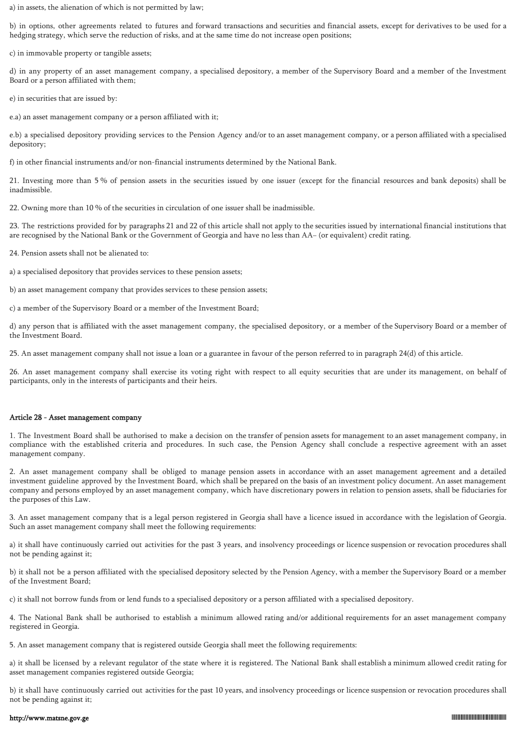a) in assets, the alienation of which is not permitted by law;

b) in options, other agreements related to futures and forward transactions and securities and financial assets, except for derivatives to be used for a hedging strategy, which serve the reduction of risks, and at the same time do not increase open positions;

c) in immovable property or tangible assets;

d) in any property of an asset management company, a specialised depository, a member of the Supervisory Board and a member of the Investment Board or a person affiliated with them;

e) in securities that are issued by:

e.a) an asset management company or a person affiliated with it;

e.b) a specialised depository providing services to the Pension Agency and/or to an asset management company, or a person affiliated with a specialised depository;

f) in other financial instruments and/or non-financial instruments determined by the National Bank.

21. Investing more than 5 % of pension assets in the securities issued by one issuer (except for the financial resources and bank deposits) shall be inadmissible.

22. Owning more than 10 % of the securities in circulation of one issuer shall be inadmissible.

23. The restrictions provided for by paragraphs 21 and 22 of this article shall not apply to the securities issued by international financial institutions that are recognised by the National Bank or the Government of Georgia and have no less than AA− (or equivalent) credit rating.

24. Pension assets shall not be alienated to:

a) a specialised depository that provides services to these pension assets;

b) an asset management company that provides services to these pension assets;

c) a member of the Supervisory Board or a member of the Investment Board;

d) any person that is affiliated with the asset management company, the specialised depository, or a member of the Supervisory Board or a member of the Investment Board.

25. An asset management company shall not issue a loan or a guarantee in favour of the person referred to in paragraph 24(d) of this article.

26. An asset management company shall exercise its voting right with respect to all equity securities that are under its management, on behalf of participants, only in the interests of participants and their heirs.

#### Article 28 - Asset management company

1. The Investment Board shall be authorised to make a decision on the transfer of pension assets for management to an asset management company, in compliance with the established criteria and procedures. In such case, the Pension Agency shall conclude a respective agreement with an asset management company.

2. An asset management company shall be obliged to manage pension assets in accordance with an asset management agreement and a detailed investment guideline approved by the Investment Board, which shall be prepared on the basis of an investment policy document. An asset management company and persons employed by an asset management company, which have discretionary powers in relation to pension assets, shall be fiduciaries for the purposes of this Law.

3. An asset management company that is a legal person registered in Georgia shall have a licence issued in accordance with the legislation of Georgia. Such an asset management company shall meet the following requirements:

a) it shall have continuously carried out activities for the past 3 years, and insolvency proceedings or licence suspension or revocation procedures shall not be pending against it;

b) it shall not be a person affiliated with the specialised depository selected by the Pension Agency, with a member the Supervisory Board or a member of the Investment Board;

c) it shall not borrow funds from or lend funds to a specialised depository or a person affiliated with a specialised depository.

4. The National Bank shall be authorised to establish a minimum allowed rating and/or additional requirements for an asset management company registered in Georgia.

5. An asset management company that is registered outside Georgia shall meet the following requirements:

a) it shall be licensed by a relevant regulator of the state where it is registered. The National Bank shall establish a minimum allowed credit rating for asset management companies registered outside Georgia;

b) it shall have continuously carried out activities for the past 10 years, and insolvency proceedings or licence suspension or revocation procedures shall not be pending against it;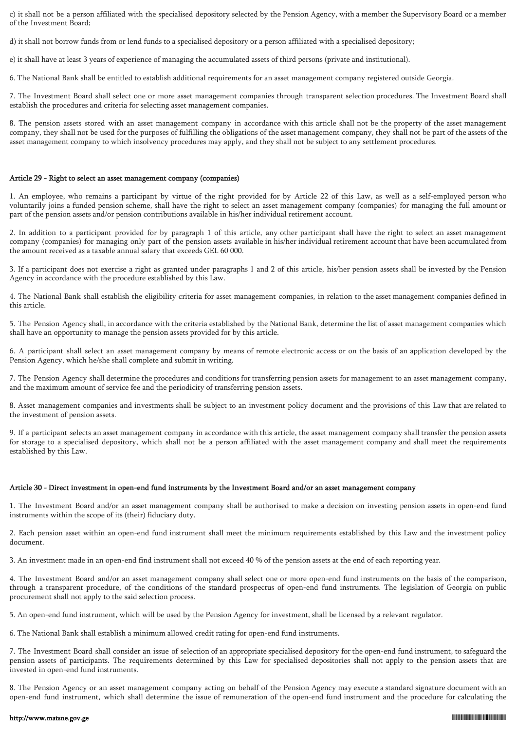c) it shall not be a person affiliated with the specialised depository selected by the Pension Agency, with a member the Supervisory Board or a member of the Investment Board;

d) it shall not borrow funds from or lend funds to a specialised depository or a person affiliated with a specialised depository;

e) it shall have at least 3 years of experience of managing the accumulated assets of third persons (private and institutional).

6. The National Bank shall be entitled to establish additional requirements for an asset management company registered outside Georgia.

7. The Investment Board shall select one or more asset management companies through transparent selection procedures. The Investment Board shall establish the procedures and criteria for selecting asset management companies.

8. The pension assets stored with an asset management company in accordance with this article shall not be the property of the asset management company, they shall not be used for the purposes of fulfilling the obligations of the asset management company, they shall not be part of the assets of the asset management company to which insolvency procedures may apply, and they shall not be subject to any settlement procedures.

#### Article 29 - Right to select an asset management company (companies)

1. An employee, who remains a participant by virtue of the right provided for by Article 22 of this Law, as well as a self-employed person who voluntarily joins a funded pension scheme, shall have the right to select an asset management company (companies) for managing the full amount or part of the pension assets and/or pension contributions available in his/her individual retirement account.

2. In addition to a participant provided for by paragraph 1 of this article, any other participant shall have the right to select an asset management company (companies) for managing only part of the pension assets available in his/her individual retirement account that have been accumulated from the amount received as a taxable annual salary that exceeds GEL 60 000.

3. If a participant does not exercise a right as granted under paragraphs 1 and 2 of this article, his/her pension assets shall be invested by the Pension Agency in accordance with the procedure established by this Law.

4. The National Bank shall establish the eligibility criteria for asset management companies, in relation to the asset management companies defined in this article.

5. The Pension Agency shall, in accordance with the criteria established by the National Bank, determine the list of asset management companies which shall have an opportunity to manage the pension assets provided for by this article.

6. A participant shall select an asset management company by means of remote electronic access or on the basis of an application developed by the Pension Agency, which he/she shall complete and submit in writing.

7. The Pension Agency shall determine the procedures and conditions for transferring pension assets for management to an asset management company, and the maximum amount of service fee and the periodicity of transferring pension assets.

8. Asset management companies and investments shall be subject to an investment policy document and the provisions of this Law that are related to the investment of pension assets.

9. If a participant selects an asset management company in accordance with this article, the asset management company shall transfer the pension assets for storage to a specialised depository, which shall not be a person affiliated with the asset management company and shall meet the requirements established by this Law.

## Article 30 - Direct investment in open-end fund instruments by the Investment Board and/or an asset management company

1. The Investment Board and/or an asset management company shall be authorised to make a decision on investing pension assets in open-end fund instruments within the scope of its (their) fiduciary duty.

2. Each pension asset within an open-end fund instrument shall meet the minimum requirements established by this Law and the investment policy document.

3. An investment made in an open-end find instrument shall not exceed 40 % of the pension assets at the end of each reporting year.

4. The Investment Board and/or an asset management company shall select one or more open-end fund instruments on the basis of the comparison, through a transparent procedure, of the conditions of the standard prospectus of open-end fund instruments. The legislation of Georgia on public procurement shall not apply to the said selection process.

5. An open-end fund instrument, which will be used by the Pension Agency for investment, shall be licensed by a relevant regulator.

6. The National Bank shall establish a minimum allowed credit rating for open-end fund instruments.

7. The Investment Board shall consider an issue of selection of an appropriate specialised depository for the open-end fund instrument, to safeguard the pension assets of participants. The requirements determined by this Law for specialised depositories shall not apply to the pension assets that are invested in open-end fund instruments.

8. The Pension Agency or an asset management company acting on behalf of the Pension Agency may execute a standard signature document with an open-end fund instrument, which shall determine the issue of remuneration of the open-end fund instrument and the procedure for calculating the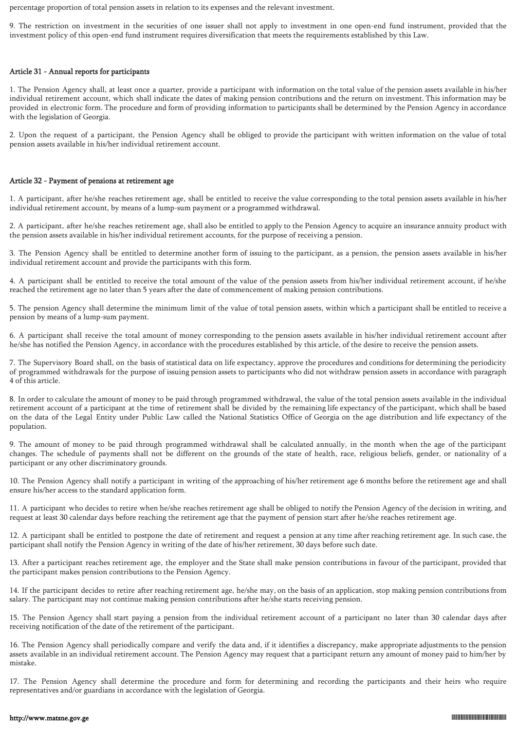percentage proportion of total pension assets in relation to its expenses and the relevant investment.

9. The restriction on investment in the securities of one issuer shall not apply to investment in one open-end fund instrument, provided that the investment policy of this open-end fund instrument requires diversification that meets the requirements established by this Law.

### Article 31 - Annual reports for participants

1. The Pension Agency shall, at least once a quarter, provide a participant with information on the total value of the pension assets available in his/her individual retirement account, which shall indicate the dates of making pension contributions and the return on investment. This information may be provided in electronic form. The procedure and form of providing information to participants shall be determined by the Pension Agency in accordance with the legislation of Georgia.

2. Upon the request of a participant, the Pension Agency shall be obliged to provide the participant with written information on the value of total pension assets available in his/her individual retirement account.

#### Article 32 - Payment of pensions at retirement age

1. A participant, after he/she reaches retirement age, shall be entitled to receive the value corresponding to the total pension assets available in his/her individual retirement account, by means of a lump-sum payment or a programmed withdrawal.

2. A participant, after he/she reaches retirement age, shall also be entitled to apply to the Pension Agency to acquire an insurance annuity product with the pension assets available in his/her individual retirement accounts, for the purpose of receiving a pension.

3. The Pension Agency shall be entitled to determine another form of issuing to the participant, as a pension, the pension assets available in his/her individual retirement account and provide the participants with this form.

4. A participant shall be entitled to receive the total amount of the value of the pension assets from his/her individual retirement account, if he/she reached the retirement age no later than 5 years after the date of commencement of making pension contributions.

5. The pension Agency shall determine the minimum limit of the value of total pension assets, within which a participant shall be entitled to receive a pension by means of a lump-sum payment.

6. A participant shall receive the total amount of money corresponding to the pension assets available in his/her individual retirement account after he/she has notified the Pension Agency, in accordance with the procedures established by this article, of the desire to receive the pension assets.

7. The Supervisory Board shall, on the basis of statistical data on life expectancy, approve the procedures and conditions for determining the periodicity of programmed withdrawals for the purpose of issuing pension assets to participants who did not withdraw pension assets in accordance with paragraph 4 of this article.

8. In order to calculate the amount of money to be paid through programmed withdrawal, the value of the total pension assets available in the individual retirement account of a participant at the time of retirement shall be divided by the remaining life expectancy of the participant, which shall be based on the data of the Legal Entity under Public Law called the National Statistics Office of Georgia on the age distribution and life expectancy of the population.

9. The amount of money to be paid through programmed withdrawal shall be calculated annually, in the month when the age of the participant changes. The schedule of payments shall not be different on the grounds of the state of health, race, religious beliefs, gender, or nationality of a participant or any other discriminatory grounds.

10. The Pension Agency shall notify a participant in writing of the approaching of his/her retirement age 6 months before the retirement age and shall ensure his/her access to the standard application form.

11. A participant who decides to retire when he/she reaches retirement age shall be obliged to notify the Pension Agency of the decision in writing, and request at least 30 calendar days before reaching the retirement age that the payment of pension start after he/she reaches retirement age.

12. A participant shall be entitled to postpone the date of retirement and request a pension at any time after reaching retirement age. In such case, the participant shall notify the Pension Agency in writing of the date of his/her retirement, 30 days before such date.

13. After a participant reaches retirement age, the employer and the State shall make pension contributions in favour of the participant, provided that the participant makes pension contributions to the Pension Agency.

14. If the participant decides to retire after reaching retirement age, he/she may, on the basis of an application, stop making pension contributions from salary. The participant may not continue making pension contributions after he/she starts receiving pension.

15. The Pension Agency shall start paying a pension from the individual retirement account of a participant no later than 30 calendar days after receiving notification of the date of the retirement of the participant.

16. The Pension Agency shall periodically compare and verify the data and, if it identifies a discrepancy, make appropriate adjustments to the pension assets available in an individual retirement account. The Pension Agency may request that a participant return any amount of money paid to him/her by mistake.

17. The Pension Agency shall determine the procedure and form for determining and recording the participants and their heirs who require representatives and/or guardians in accordance with the legislation of Georgia.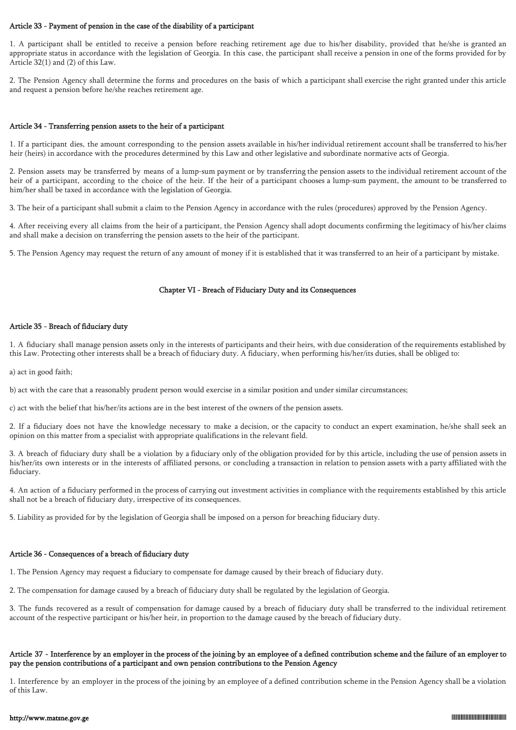## Article 33 - Payment of pension in the case of the disability of a participant

1. A participant shall be entitled to receive a pension before reaching retirement age due to his/her disability, provided that he/she is granted an appropriate status in accordance with the legislation of Georgia. In this case, the participant shall receive a pension in one of the forms provided for by Article 32(1) and (2) of this Law.

2. The Pension Agency shall determine the forms and procedures on the basis of which a participant shall exercise the right granted under this article and request a pension before he/she reaches retirement age.

## Article 34 - Transferring pension assets to the heir of a participant

1. If a participant dies, the amount corresponding to the pension assets available in his/her individual retirement account shall be transferred to his/her heir (heirs) in accordance with the procedures determined by this Law and other legislative and subordinate normative acts of Georgia.

2. Pension assets may be transferred by means of a lump-sum payment or by transferring the pension assets to the individual retirement account of the heir of a participant, according to the choice of the heir. If the heir of a participant chooses a lump-sum payment, the amount to be transferred to him/her shall be taxed in accordance with the legislation of Georgia.

3. The heir of a participant shall submit a claim to the Pension Agency in accordance with the rules (procedures) approved by the Pension Agency.

4. After receiving every all claims from the heir of a participant, the Pension Agency shall adopt documents confirming the legitimacy of his/her claims and shall make a decision on transferring the pension assets to the heir of the participant.

5. The Pension Agency may request the return of any amount of money if it is established that it was transferred to an heir of a participant by mistake.

# Chapter VI - Breach of Fiduciary Duty and its Consequences

## Article 35 - Breach of fiduciary duty

1. A fiduciary shall manage pension assets only in the interests of participants and their heirs, with due consideration of the requirements established by this Law. Protecting other interests shall be a breach of fiduciary duty. A fiduciary, when performing his/her/its duties, shall be obliged to:

a) act in good faith;

b) act with the care that a reasonably prudent person would exercise in a similar position and under similar circumstances;

c) act with the belief that his/her/its actions are in the best interest of the owners of the pension assets.

2. If a fiduciary does not have the knowledge necessary to make a decision, or the capacity to conduct an expert examination, he/she shall seek an opinion on this matter from a specialist with appropriate qualifications in the relevant field.

3. A breach of fiduciary duty shall be a violation by a fiduciary only of the obligation provided for by this article, including the use of pension assets in his/her/its own interests or in the interests of affiliated persons, or concluding a transaction in relation to pension assets with a party affiliated with the fiduciary.

4. An action of a fiduciary performed in the process of carrying out investment activities in compliance with the requirements established by this article shall not be a breach of fiduciary duty, irrespective of its consequences.

5. Liability as provided for by the legislation of Georgia shall be imposed on a person for breaching fiduciary duty.

# Article 36 - Consequences of a breach of fiduciary duty

1. The Pension Agency may request a fiduciary to compensate for damage caused by their breach of fiduciary duty.

2. The compensation for damage caused by a breach of fiduciary duty shall be regulated by the legislation of Georgia.

3. The funds recovered as a result of compensation for damage caused by a breach of fiduciary duty shall be transferred to the individual retirement account of the respective participant or his/her heir, in proportion to the damage caused by the breach of fiduciary duty.

# Article 37 - Interference by an employer in the process of the joining by an employee of a defined contribution scheme and the failure of an employer to pay the pension contributions of a participant and own pension contributions to the Pension Agency

1. Interference by an employer in the process of the joining by an employee of a defined contribution scheme in the Pension Agency shall be a violation of this Law.